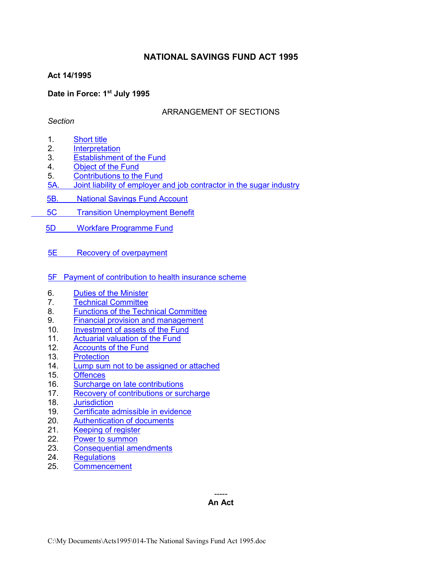## **NATIONAL SAVINGS FUND ACT 1995**

## **Act 14/1995**

## **Date in Force: 1st July 1995**

## ARRANGEMENT OF SECTIONS

## *Section*

- 1. [Short title](#page-1-0)
- <span id="page-0-0"></span>2. [Interpretation](#page-0-0)
- 3. [Establishment of the Fund](#page-5-0)
- 4. [Object of the Fund](#page-5-1)
- 5. Contributions to the Fund
- 5A. [Joint liability of employer and job contractor in the sugar industry](#page-6-0)
- 5B. [National Savings Fund Account](#page-7-0)
- 5C [Transition Unemployment Benefit](#page-9-0)
- 5D [Workfare Programme Fund](#page-10-0)
- 5E [Recovery of overpayment](#page-11-0)
- [5F Payment of contribution to health insurance scheme](#page-11-0)
- 6. [Duties of the Minister](#page-13-0)
- 7. [Technical Committee](#page-13-1)
- 8. [Functions of the Technical Committee](#page-14-0)
- 9. [Financial provision and management](#page-14-1)
- 10. [Investment of assets of the Fund](#page-15-0)
- 11. [Actuarial valuation of the Fund](#page-15-1)
- 12. [Accounts of the Fund](#page-15-2)
- 13. [Protection](#page-15-3)
- 14. [Lump sum not to be assigned or attached](#page-16-0)
- 15. [Offences](#page-16-1)
- 16. [Surcharge on late contributions](#page-17-0)
- 17. Recovery of contributions or surcharge
- 18. [Jurisdiction](#page-19-0)
- 19. [Certificate admissible in evidence](#page-19-1)
- 20. [Authentication of documents](#page-19-2)<br>21. Keeping of register
- Keeping of register
- 22. [Power to summon](#page-20-0)
- 23. [Consequential amendments](#page-21-0)
- 24. [Regulations](#page-21-1)
- 25. [Commencement](#page-22-0)

-----

#### **An Act**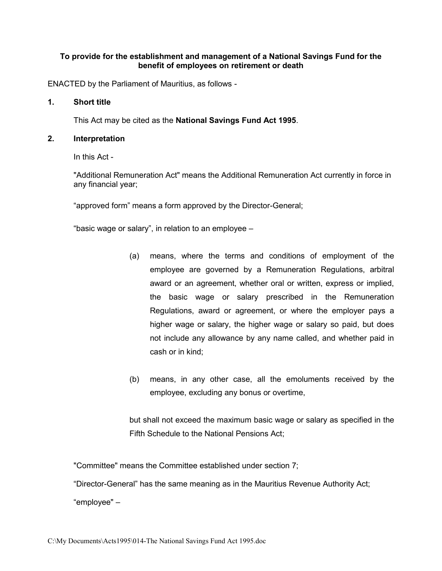## **To provide for the establishment and management of a National Savings Fund for the benefit of employees on retirement or death**

ENACTED by the Parliament of Mauritius, as follows -

#### **1. Short title**

<span id="page-1-0"></span>This Act may be cited as the **National Savings Fund Act 1995**.

#### **2. Interpretation**

In this Act -

"Additional Remuneration Act" means the Additional Remuneration Act currently in force in any financial year;

"approved form" means a form approved by the Director-General;

"basic wage or salary", in relation to an employee –

- (a) means, where the terms and conditions of employment of the employee are governed by a Remuneration Regulations, arbitral award or an agreement, whether oral or written, express or implied, the basic wage or salary prescribed in the Remuneration Regulations, award or agreement, or where the employer pays a higher wage or salary, the higher wage or salary so paid, but does not include any allowance by any name called, and whether paid in cash or in kind;
- (b) means, in any other case, all the emoluments received by the employee, excluding any bonus or overtime,

but shall not exceed the maximum basic wage or salary as specified in the Fifth Schedule to the National Pensions Act;

"Committee" means the Committee established under section 7;

"Director-General" has the same meaning as in the Mauritius Revenue Authority Act; "employee" –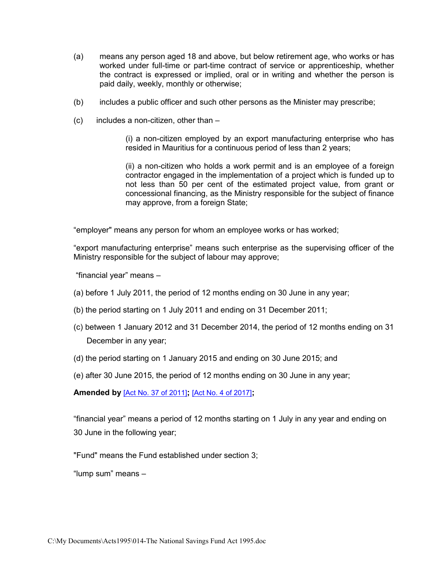- (a) means any person aged 18 and above, but below retirement age, who works or has worked under full-time or part-time contract of service or apprenticeship, whether the contract is expressed or implied, oral or in writing and whether the person is paid daily, weekly, monthly or otherwise;
- (b) includes a public officer and such other persons as the Minister may prescribe;
- (c) includes a non-citizen, other than –

(i) a non-citizen employed by an export manufacturing enterprise who has resided in Mauritius for a continuous period of less than 2 years;

(ii) a non-citizen who holds a work permit and is an employee of a foreign contractor engaged in the implementation of a project which is funded up to not less than 50 per cent of the estimated project value, from grant or concessional financing, as the Ministry responsible for the subject of finance may approve, from a foreign State;

"employer" means any person for whom an employee works or has worked;

"export manufacturing enterprise" means such enterprise as the supervising officer of the Ministry responsible for the subject of labour may approve;

"financial year" means –

- (a) before 1 July 2011, the period of 12 months ending on 30 June in any year;
- (b) the period starting on 1 July 2011 and ending on 31 December 2011;
- (c) between 1 January 2012 and 31 December 2014, the period of 12 months ending on 31 December in any year;
- (d) the period starting on 1 January 2015 and ending on 30 June 2015; and
- (e) after 30 June 2015, the period of 12 months ending on 30 June in any year;

**Amended by** [\[Act No. 37 of 2011\]](https://supremecourt.govmu.org/get-doc-link/Act_No._37_of_2011)**;** [\[Act No. 4 of 2017\]](https://supremecourt.govmu.org/get-doc-link/Act_No._4_of_2017)**;** 

"financial year" means a period of 12 months starting on 1 July in any year and ending on 30 June in the following year;

"Fund" means the Fund established under section 3;

"lump sum" means –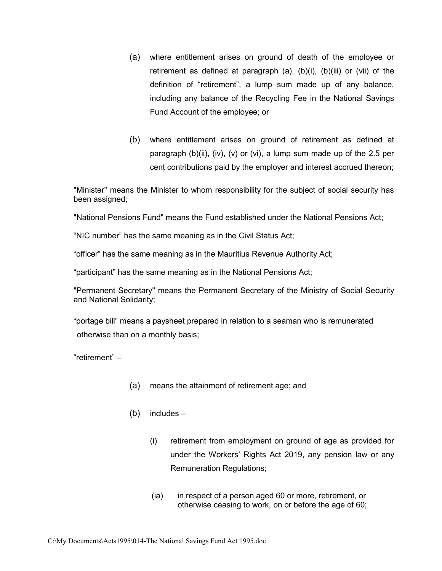- (a) where entitlement arises on ground of death of the employee or retirement as defined at paragraph (a), (b)(i), (b)(iii) or (vii) of the definition of "retirement", a lump sum made up of any balance, including any balance of the Recycling Fee in the National Savings Fund Account of the employee; or
- (b) where entitlement arises on ground of retirement as defined at paragraph (b)(ii), (iv), (v) or (vi), a lump sum made up of the 2.5 per cent contributions paid by the employer and interest accrued thereon;

"Minister" means the Minister to whom responsibility for the subject of social security has been assigned;

"National Pensions Fund" means the Fund established under the National Pensions Act;

"NIC number" has the same meaning as in the Civil Status Act;

"officer" has the same meaning as in the Mauritius Revenue Authority Act;

"participant" has the same meaning as in the National Pensions Act;

"Permanent Secretary" means the Permanent Secretary of the Ministry of Social Security and National Solidarity;

"portage bill" means a paysheet prepared in relation to a seaman who is remunerated otherwise than on a monthly basis;

"retirement" –

- (a) means the attainment of retirement age; and
- (b) includes
	- (i) retirement from employment on ground of age as provided for under the Workers' Rights Act 2019, any pension law or any Remuneration Regulations;
	- (ia) in respect of a person aged 60 or more, retirement, or otherwise ceasing to work, on or before the age of 60;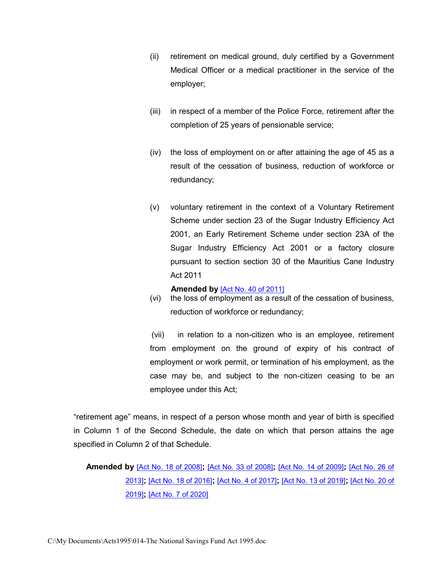- (ii) retirement on medical ground, duly certified by a Government Medical Officer or a medical practitioner in the service of the employer;
- (iii) in respect of a member of the Police Force, retirement after the completion of 25 years of pensionable service;
- (iv) the loss of employment on or after attaining the age of 45 as a result of the cessation of business, reduction of workforce or redundancy;
- (v) voluntary retirement in the context of a Voluntary Retirement Scheme under section 23 of the Sugar Industry Efficiency Act 2001, an Early Retirement Scheme under section 23A of the Sugar Industry Efficiency Act 2001 or a factory closure pursuant to section section 30 of the Mauritius Cane Industry Act 2011

#### **Amended by** [\[Act No. 40 of 2011\]](https://supremecourt.govmu.org/get-doc-link/Act_No._40_of_2011)

(vi) the loss of employment as a result of the cessation of business, reduction of workforce or redundancy;

(vii) in relation to a non-citizen who is an employee, retirement from employment on the ground of expiry of his contract of employment or work permit, or termination of his employment, as the case may be, and subject to the non-citizen ceasing to be an employee under this Act;

"retirement age" means, in respect of a person whose month and year of birth is specified in Column 1 of the Second Schedule, the date on which that person attains the age specified in Column 2 of that Schedule.

 **Amended by** [\[Act No. 18 of 2008\]](https://supremecourt.govmu.org/get-doc-link/Act_No._18_of_2008)**;** [\[Act No. 33 of 2008\]](https://supremecourt.govmu.org/get-doc-link/Act_No._33_of_2008)**;** [\[Act No. 14 of 2009\]](https://supremecourt.govmu.org/get-doc-link/Act_No._14_of_2009)**;** [\[Act No. 26 of](https://supremecourt.govmu.org/get-doc-link/Act_No._26_of_2013)  [2013\]](https://supremecourt.govmu.org/get-doc-link/Act_No._26_of_2013)**;** [\[Act No. 18 of 2016\]](https://supremecourt.govmu.org/get-doc-link/Act_No._18_of_2016)**;** [\[Act No. 4 of 2017\]](https://supremecourt.govmu.org/get-doc-link/Act_No._4_of_2017)**;** [\[Act No. 13 of 2019\]](https://supremecourt.govmu.org/get-doc-link/Act_No._13_of_2019)**;** [\[Act No. 20 of](https://supremecourt.govmu.org/get-doc-link/Act_No._20_of_2019)  [2019\]](https://supremecourt.govmu.org/get-doc-link/Act_No._20_of_2019)**;** [\[Act No. 7 of 2020\]](https://supremecourt.govmu.org/get-doc-link/Act_No._7_of_2020)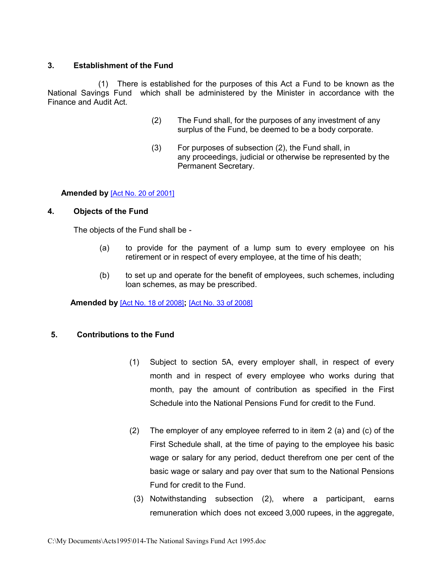## <span id="page-5-0"></span>**3. Establishment of the Fund**

 (1) There is established for the purposes of this Act a Fund to be known as the National Savings Fund which shall be administered by the Minister in accordance with the Finance and Audit Act.

- (2) The Fund shall, for the purposes of any investment of any surplus of the Fund, be deemed to be a body corporate.
- (3) For purposes of subsection (2), the Fund shall, in any proceedings, judicial or otherwise be represented by the Permanent Secretary.

### **Amended by** [\[Act No. 20 of 2001\]](https://supremecourt.govmu.org/get-doc-link/Act_No._20_of_2001)

#### **4. Objects of the Fund**

<span id="page-5-1"></span>The objects of the Fund shall be -

- (a) to provide for the payment of a lump sum to every employee on his retirement or in respect of every employee, at the time of his death;
- (b) to set up and operate for the benefit of employees, such schemes, including loan schemes, as may be prescribed.

**Amended by** [\[Act No. 18 of 2008\]](https://supremecourt.govmu.org/get-doc-link/Act_No._18_of_2008)**;** [\[Act No. 33 of 2008\]](https://supremecourt.govmu.org/get-doc-link/Act_No._33_of_2008)

## **5. Contributions to the Fund**

- (1) Subject to section 5A, every employer shall, in respect of every month and in respect of every employee who works during that month, pay the amount of contribution as specified in the First Schedule into the National Pensions Fund for credit to the Fund.
- (2) The employer of any employee referred to in item 2 (a) and (c) of the First Schedule shall, at the time of paying to the employee his basic wage or salary for any period, deduct therefrom one per cent of the basic wage or salary and pay over that sum to the National Pensions Fund for credit to the Fund.
- (3) Notwithstanding subsection (2), where a participant, earns remuneration which does not exceed 3,000 rupees, in the aggregate,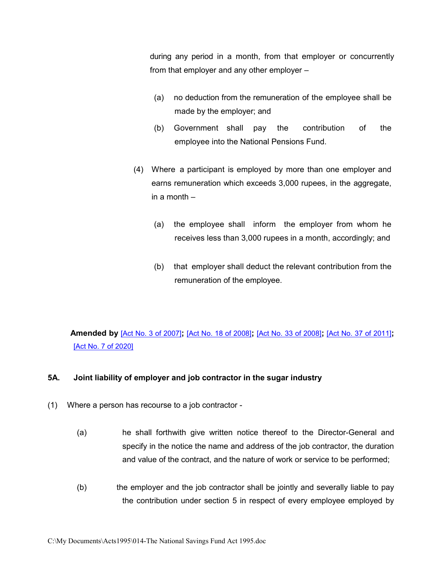during any period in a month, from that employer or concurrently from that employer and any other employer –

- (a) no deduction from the remuneration of the employee shall be made by the employer; and
- (b) Government shall pay the contribution of the employee into the National Pensions Fund.
- (4) Where a participant is employed by more than one employer and earns remuneration which exceeds 3,000 rupees, in the aggregate, in a month –
	- (a) the employee shall inform the employer from whom he receives less than 3,000 rupees in a month, accordingly; and
	- (b) that employer shall deduct the relevant contribution from the remuneration of the employee.

# **Amended by** [\[Act No. 3 of 2007\]](https://supremecourt.govmu.org/get-doc-link/Act_No._3_of_2007)**;** [\[Act No. 18 of 2008\]](https://supremecourt.govmu.org/get-doc-link/Act_No._18_of_2008)**;** [\[Act No. 33 of 2008\]](https://supremecourt.govmu.org/get-doc-link/Act_No._33_of_2008)**;** [\[Act No. 37 of 2011\]](https://supremecourt.govmu.org/get-doc-link/Act_No._37_of_2011)**;**  [\[Act No. 7 of 2020\]](https://supremecourt.govmu.org/get-doc-link/Act_No._7_of_2020)

## <span id="page-6-0"></span>**5A. Joint liability of employer and job contractor in the sugar industry**

- (1) Where a person has recourse to a job contractor
	- (a) he shall forthwith give written notice thereof to the Director-General and specify in the notice the name and address of the job contractor, the duration and value of the contract, and the nature of work or service to be performed;
	- (b) the employer and the job contractor shall be jointly and severally liable to pay the contribution under section 5 in respect of every employee employed by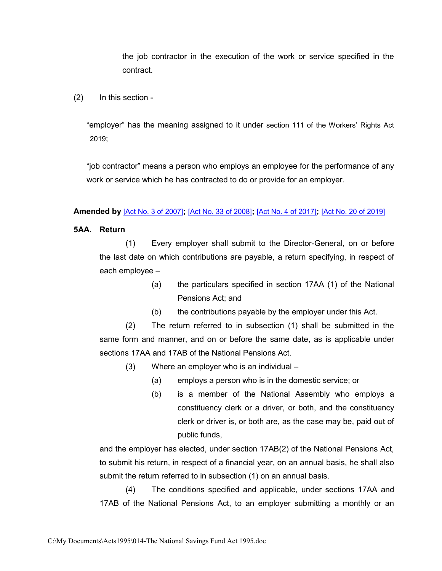the job contractor in the execution of the work or service specified in the contract.

(2) In this section -

"employer" has the meaning assigned to it under section 111 of the Workers' Rights Act 2019;

"job contractor" means a person who employs an employee for the performance of any work or service which he has contracted to do or provide for an employer.

#### **Amended by** [\[Act No. 3 of 2007\]](https://supremecourt.govmu.org/get-doc-link/Act_No._3_of_2007)**;** [\[Act No. 33 of 2008\]](https://supremecourt.govmu.org/get-doc-link/Act_No._33_of_2008)**;** [\[Act No. 4 of 2017\]](https://supremecourt.govmu.org/get-doc-link/Act_No._4_of_2017)**;** [\[Act No. 20 of 2019\]](https://supremecourt.govmu.org/get-doc-link/Act_No._20_of_2019)

### <span id="page-7-0"></span>**5AA. Return**

(1) Every employer shall submit to the Director-General, on or before the last date on which contributions are payable, a return specifying, in respect of each employee –

- (a) the particulars specified in section 17AA (1) of the National Pensions Act; and
- (b) the contributions payable by the employer under this Act.

(2) The return referred to in subsection (1) shall be submitted in the same form and manner, and on or before the same date, as is applicable under sections 17AA and 17AB of the National Pensions Act.

(3) Where an employer who is an individual –

- (a) employs a person who is in the domestic service; or
- (b) is a member of the National Assembly who employs a constituency clerk or a driver, or both, and the constituency clerk or driver is, or both are, as the case may be, paid out of public funds,

and the employer has elected, under section 17AB(2) of the National Pensions Act, to submit his return, in respect of a financial year, on an annual basis, he shall also submit the return referred to in subsection (1) on an annual basis.

(4) The conditions specified and applicable, under sections 17AA and 17AB of the National Pensions Act, to an employer submitting a monthly or an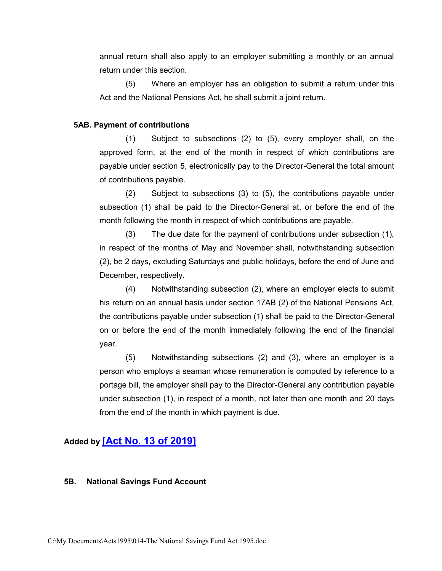annual return shall also apply to an employer submitting a monthly or an annual return under this section.

(5) Where an employer has an obligation to submit a return under this Act and the National Pensions Act, he shall submit a joint return.

#### **5AB. Payment of contributions**

(1) Subject to subsections (2) to (5), every employer shall, on the approved form, at the end of the month in respect of which contributions are payable under section 5, electronically pay to the Director-General the total amount of contributions payable.

(2) Subject to subsections (3) to (5), the contributions payable under subsection (1) shall be paid to the Director-General at, or before the end of the month following the month in respect of which contributions are payable.

(3) The due date for the payment of contributions under subsection (1), in respect of the months of May and November shall, notwithstanding subsection (2), be 2 days, excluding Saturdays and public holidays, before the end of June and December, respectively.

(4) Notwithstanding subsection (2), where an employer elects to submit his return on an annual basis under section 17AB (2) of the National Pensions Act, the contributions payable under subsection (1) shall be paid to the Director-General on or before the end of the month immediately following the end of the financial year.

(5) Notwithstanding subsections (2) and (3), where an employer is a person who employs a seaman whose remuneration is computed by reference to a portage bill, the employer shall pay to the Director-General any contribution payable under subsection (1), in respect of a month, not later than one month and 20 days from the end of the month in which payment is due.

## **Added by [\[Act No. 13 of 2019\]](https://supremecourt.govmu.org/get-doc-link/Act_No._13_of_2019)**

#### **5B. National Savings Fund Account**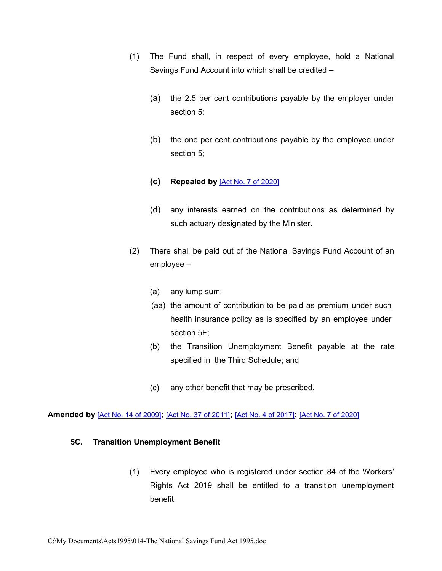- (1) The Fund shall, in respect of every employee, hold a National Savings Fund Account into which shall be credited –
	- (a) the 2.5 per cent contributions payable by the employer under section 5;
	- (b) the one per cent contributions payable by the employee under section 5;
	- **(c) Repealed by** [\[Act No. 7 of 2020\]](https://supremecourt.govmu.org/get-doc-link/Act_No._7_of_2020)
	- (d) any interests earned on the contributions as determined by such actuary designated by the Minister.
- (2) There shall be paid out of the National Savings Fund Account of an employee –
	- (a) any lump sum;
	- (aa) the amount of contribution to be paid as premium under such health insurance policy as is specified by an employee under section 5F;
	- (b) the Transition Unemployment Benefit payable at the rate specified in the Third Schedule; and
	- (c) any other benefit that may be prescribed.

**Amended by** [\[Act No. 14 of 2009\]](https://supremecourt.govmu.org/get-doc-link/Act_No._14_of_2009)**;** [\[Act No. 37 of 2011\]](https://supremecourt.govmu.org/get-doc-link/Act_No._37_of_2011)**;** [\[Act No. 4 of 2017\]](https://supremecourt.govmu.org/get-doc-link/Act_No._4_of_2017)**;** [\[Act No. 7 of 2020\]](https://supremecourt.govmu.org/get-doc-link/Act_No._7_of_2020)

#### <span id="page-9-0"></span>**5C. Transition Unemployment Benefit**

(1) Every employee who is registered under section 84 of the Workers' Rights Act 2019 shall be entitled to a transition unemployment benefit.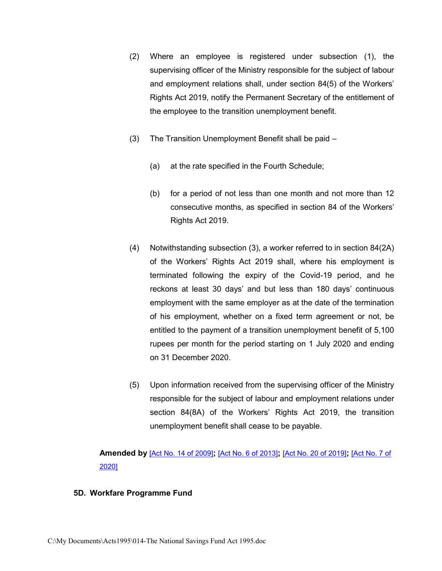- (2) Where an employee is registered under subsection (1), the supervising officer of the Ministry responsible for the subject of labour and employment relations shall, under section 84(5) of the Workers' Rights Act 2019, notify the Permanent Secretary of the entitlement of the employee to the transition unemployment benefit.
- (3) The Transition Unemployment Benefit shall be paid
	- (a) at the rate specified in the Fourth Schedule;
	- (b) for a period of not less than one month and not more than 12 consecutive months, as specified in section 84 of the Workers' Rights Act 2019.
- (4) Notwithstanding subsection (3), a worker referred to in section 84(2A) of the Workers' Rights Act 2019 shall, where his employment is terminated following the expiry of the Covid-19 period, and he reckons at least 30 days' and but less than 180 days' continuous employment with the same employer as at the date of the termination of his employment, whether on a fixed term agreement or not, be entitled to the payment of a transition unemployment benefit of 5,100 rupees per month for the period starting on 1 July 2020 and ending on 31 December 2020.
- (5) Upon information received from the supervising officer of the Ministry responsible for the subject of labour and employment relations under section 84(8A) of the Workers' Rights Act 2019, the transition unemployment benefit shall cease to be payable.

**Amended by** [\[Act No. 14 of 2009\]](https://supremecourt.govmu.org/get-doc-link/Act_No._14_of_2009)**;** [\[Act No. 6 of 2013\]](https://supremecourt.govmu.org/get-doc-link/Act_No._6_of_2013)**;** [\[Act No. 20 of 2019\]](https://supremecourt.govmu.org/get-doc-link/Act_No._20_of_2019)**;** [\[Act No. 7 of](https://supremecourt.govmu.org/get-doc-link/Act_No._7_of_2020)  [2020\]](https://supremecourt.govmu.org/get-doc-link/Act_No._7_of_2020)

#### <span id="page-10-0"></span>**5D. Workfare Programme Fund**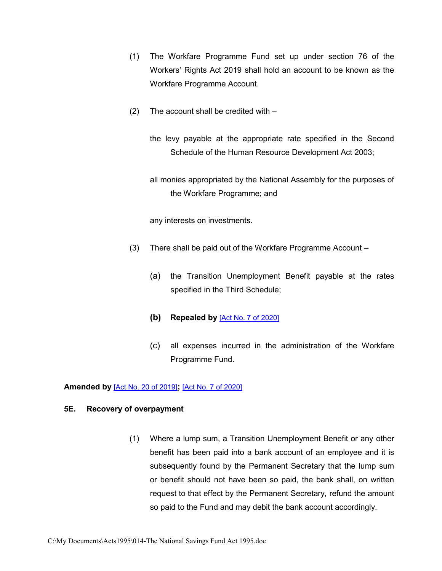- (1) The Workfare Programme Fund set up under section 76 of the Workers' Rights Act 2019 shall hold an account to be known as the Workfare Programme Account.
- (2) The account shall be credited with –

the levy payable at the appropriate rate specified in the Second Schedule of the Human Resource Development Act 2003;

all monies appropriated by the National Assembly for the purposes of the Workfare Programme; and

any interests on investments.

- (3) There shall be paid out of the Workfare Programme Account
	- (a) the Transition Unemployment Benefit payable at the rates specified in the Third Schedule;
	- **(b) Repealed by** [\[Act No. 7 of 2020\]](https://supremecourt.govmu.org/get-doc-link/Act_No._7_of_2020)
	- (c) all expenses incurred in the administration of the Workfare Programme Fund.

#### **Amended by** [\[Act No. 20 of 2019\]](https://supremecourt.govmu.org/get-doc-link/Act_No._20_of_2019)**;** [\[Act No. 7 of 2020\]](https://supremecourt.govmu.org/get-doc-link/Act_No._7_of_2020)

#### <span id="page-11-0"></span>**5E. Recovery of overpayment**

(1) Where a lump sum, a Transition Unemployment Benefit or any other benefit has been paid into a bank account of an employee and it is subsequently found by the Permanent Secretary that the lump sum or benefit should not have been so paid, the bank shall, on written request to that effect by the Permanent Secretary, refund the amount so paid to the Fund and may debit the bank account accordingly.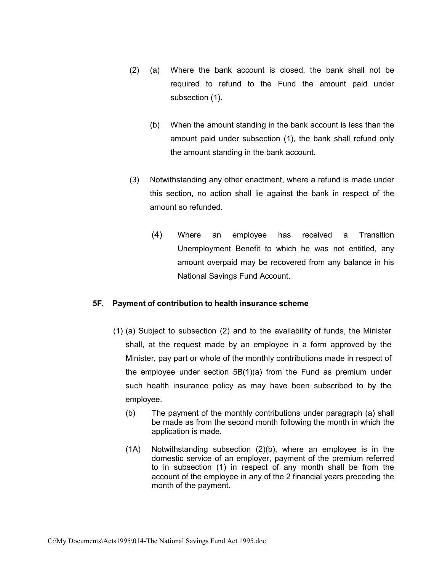- (2) (a) Where the bank account is closed, the bank shall not be required to refund to the Fund the amount paid under subsection (1).
	- (b) When the amount standing in the bank account is less than the amount paid under subsection (1), the bank shall refund only the amount standing in the bank account.
- (3) Notwithstanding any other enactment, where a refund is made under this section, no action shall lie against the bank in respect of the amount so refunded.
	- (4) Where an employee has received a Transition Unemployment Benefit to which he was not entitled, any amount overpaid may be recovered from any balance in his National Savings Fund Account.

## **5F. Payment of contribution to health insurance scheme**

- (1) (a) Subject to subsection (2) and to the availability of funds, the Minister shall, at the request made by an employee in a form approved by the Minister, pay part or whole of the monthly contributions made in respect of the employee under section 5B(1)(a) from the Fund as premium under such health insurance policy as may have been subscribed to by the employee.
	- (b) The payment of the monthly contributions under paragraph (a) shall be made as from the second month following the month in which the application is made.
	- (1A) Notwithstanding subsection (2)(b), where an employee is in the domestic service of an employer, payment of the premium referred to in subsection (1) in respect of any month shall be from the account of the employee in any of the 2 financial years preceding the month of the payment.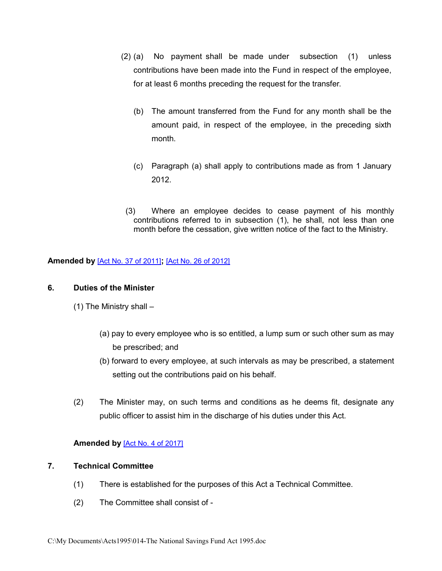- (2) (a) No payment shall be made under subsection (1) unless contributions have been made into the Fund in respect of the employee, for at least 6 months preceding the request for the transfer.
	- (b) The amount transferred from the Fund for any month shall be the amount paid, in respect of the employee, in the preceding sixth month.
	- (c) Paragraph (a) shall apply to contributions made as from 1 January 2012.
- (3) Where an employee decides to cease payment of his monthly contributions referred to in subsection (1), he shall, not less than one month before the cessation, give written notice of the fact to the Ministry.

**Amended by** [\[Act No. 37 of 2011\]](https://supremecourt.govmu.org/get-doc-link/Act_No._37_of_2011)**;** [\[Act No. 26 of 2012\]](https://supremecourt.govmu.org/get-doc-link/Act_No._26_of_2012)

## **6. Duties of the Minister**

- <span id="page-13-0"></span>(1) The Ministry shall –
	- (a) pay to every employee who is so entitled, a lump sum or such other sum as may be prescribed; and
	- (b) forward to every employee, at such intervals as may be prescribed, a statement setting out the contributions paid on his behalf.
- (2) The Minister may, on such terms and conditions as he deems fit, designate any public officer to assist him in the discharge of his duties under this Act.

## **Amended by** [\[Act No. 4 of 2017\]](https://supremecourt.govmu.org/get-doc-link/Act_No._4_of_2017)

### **7. Technical Committee**

- <span id="page-13-1"></span>(1) There is established for the purposes of this Act a Technical Committee.
- (2) The Committee shall consist of -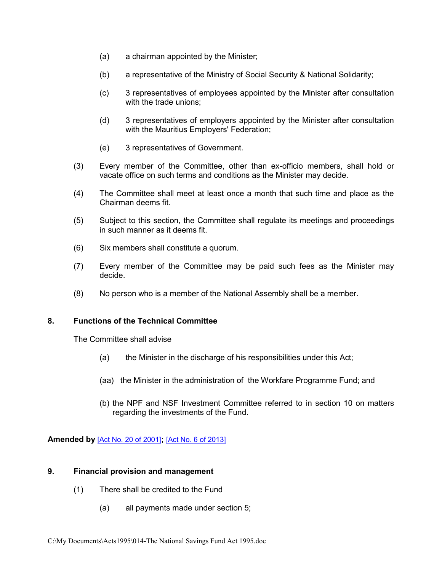- (a) a chairman appointed by the Minister;
- (b) a representative of the Ministry of Social Security & National Solidarity;
- (c) 3 representatives of employees appointed by the Minister after consultation with the trade unions;
- (d) 3 representatives of employers appointed by the Minister after consultation with the Mauritius Employers' Federation;
- (e) 3 representatives of Government.
- (3) Every member of the Committee, other than ex-officio members, shall hold or vacate office on such terms and conditions as the Minister may decide.
- (4) The Committee shall meet at least once a month that such time and place as the Chairman deems fit.
- (5) Subject to this section, the Committee shall regulate its meetings and proceedings in such manner as it deems fit.
- (6) Six members shall constitute a quorum.
- (7) Every member of the Committee may be paid such fees as the Minister may decide.
- (8) No person who is a member of the National Assembly shall be a member.

## **8. Functions of the Technical Committee**

The Committee shall advise

- <span id="page-14-0"></span>(a) the Minister in the discharge of his responsibilities under this Act;
- (aa) the Minister in the administration of the Workfare Programme Fund; and
- (b) the NPF and NSF Investment Committee referred to in section 10 on matters regarding the investments of the Fund.

**Amended by** [\[Act No. 20 of 2001\]](https://supremecourt.govmu.org/get-doc-link/Act_No._20_of_2001)**;** [\[Act No. 6 of 2013\]](https://supremecourt.govmu.org/get-doc-link/Act_No._6_of_2013)

#### **9. Financial provision and management**

- <span id="page-14-1"></span>(1) There shall be credited to the Fund
	- (a) all payments made under section 5;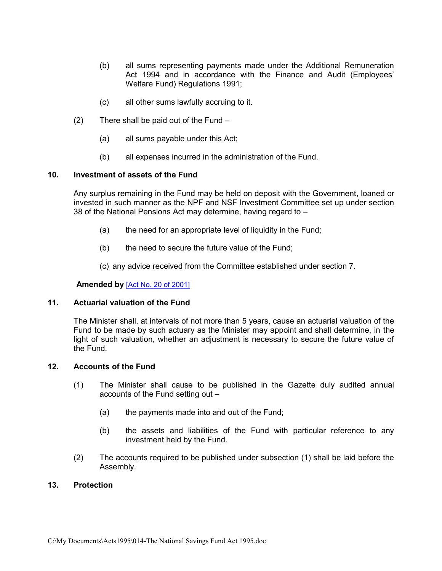- (b) all sums representing payments made under the Additional Remuneration Act 1994 and in accordance with the Finance and Audit (Employees' Welfare Fund) Regulations 1991;
- (c) all other sums lawfully accruing to it.
- (2) There shall be paid out of the Fund
	- (a) all sums payable under this Act;
	- (b) all expenses incurred in the administration of the Fund.

#### **10. Investment of assets of the Fund**

<span id="page-15-0"></span>Any surplus remaining in the Fund may be held on deposit with the Government, loaned or invested in such manner as the NPF and NSF Investment Committee set up under section 38 of the National Pensions Act may determine, having regard to –

- (a) the need for an appropriate level of liquidity in the Fund;
- (b) the need to secure the future value of the Fund;
- <span id="page-15-1"></span>(c) any advice received from the Committee established under section 7.

#### **Amended by** [\[Act No. 20 of 2001\]](https://supremecourt.govmu.org/get-doc-link/Act_No._20_of_2001)

#### **11. Actuarial valuation of the Fund**

The Minister shall, at intervals of not more than 5 years, cause an actuarial valuation of the Fund to be made by such actuary as the Minister may appoint and shall determine, in the light of such valuation, whether an adjustment is necessary to secure the future value of the Fund.

#### **12. Accounts of the Fund**

- <span id="page-15-2"></span>(1) The Minister shall cause to be published in the Gazette duly audited annual accounts of the Fund setting out –
	- (a) the payments made into and out of the Fund;
	- (b) the assets and liabilities of the Fund with particular reference to any investment held by the Fund.
- <span id="page-15-3"></span>(2) The accounts required to be published under subsection (1) shall be laid before the Assembly.

#### **13. Protection**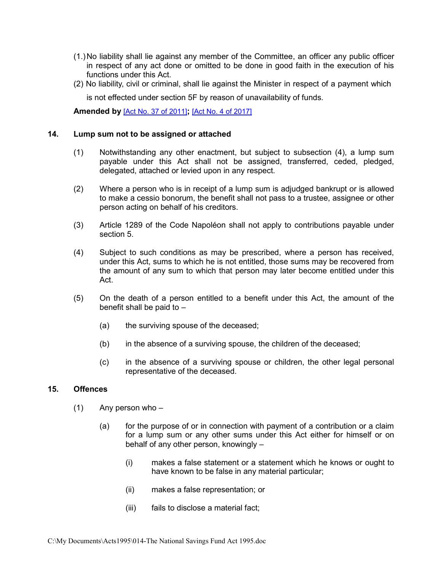- (1.)No liability shall lie against any member of the Committee, an officer any public officer in respect of any act done or omitted to be done in good faith in the execution of his functions under this Act.
- (2) No liability, civil or criminal, shall lie against the Minister in respect of a payment which

is not effected under section 5F by reason of unavailability of funds.

**Amended by** [\[Act No. 37 of 2011\]](https://supremecourt.govmu.org/get-doc-link/Act_No._37_of_2011)**;** [\[Act No. 4 of 2017\]](https://supremecourt.govmu.org/get-doc-link/Act_No._4_of_2017)

#### **14. Lump sum not to be assigned or attached**

- <span id="page-16-0"></span>(1) Notwithstanding any other enactment, but subject to subsection (4), a lump sum payable under this Act shall not be assigned, transferred, ceded, pledged, delegated, attached or levied upon in any respect.
- (2) Where a person who is in receipt of a lump sum is adjudged bankrupt or is allowed to make a cessio bonorum, the benefit shall not pass to a trustee, assignee or other person acting on behalf of his creditors.
- (3) Article 1289 of the Code Napoléon shall not apply to contributions payable under section 5.
- (4) Subject to such conditions as may be prescribed, where a person has received, under this Act, sums to which he is not entitled, those sums may be recovered from the amount of any sum to which that person may later become entitled under this Act.
- (5) On the death of a person entitled to a benefit under this Act, the amount of the benefit shall be paid to –
	- (a) the surviving spouse of the deceased;
	- (b) in the absence of a surviving spouse, the children of the deceased;
	- (c) in the absence of a surviving spouse or children, the other legal personal representative of the deceased.

#### **15. Offences**

- <span id="page-16-1"></span> $(1)$  Any person who –
	- (a) for the purpose of or in connection with payment of a contribution or a claim for a lump sum or any other sums under this Act either for himself or on behalf of any other person, knowingly –
		- (i) makes a false statement or a statement which he knows or ought to have known to be false in any material particular;
		- (ii) makes a false representation; or
		- (iii) fails to disclose a material fact;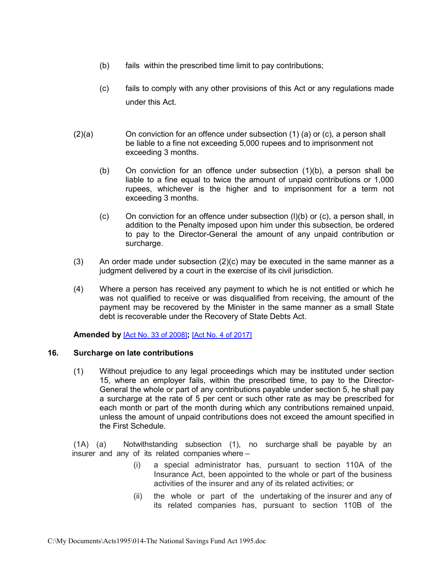- (b) fails within the prescribed time limit to pay contributions;
- (c) fails to comply with any other provisions of this Act or any regulations made under this Act.
- (2)(a) On conviction for an offence under subsection (1) (a) or (c), a person shall be liable to a fine not exceeding 5,000 rupees and to imprisonment not exceeding 3 months.
	- (b) On conviction for an offence under subsection (1)(b), a person shall be liable to a fine equal to twice the amount of unpaid contributions or 1,000 rupees, whichever is the higher and to imprisonment for a term not exceeding 3 months.
	- $(c)$  On conviction for an offence under subsection  $(l)(b)$  or  $(c)$ , a person shall, in addition to the Penalty imposed upon him under this subsection, be ordered to pay to the Director-General the amount of any unpaid contribution or surcharge.
- (3) An order made under subsection (2)(c) may be executed in the same manner as a judgment delivered by a court in the exercise of its civil jurisdiction.
- (4) Where a person has received any payment to which he is not entitled or which he was not qualified to receive or was disqualified from receiving, the amount of the payment may be recovered by the Minister in the same manner as a small State debt is recoverable under the Recovery of State Debts Act.

#### **Amended by** [\[Act No. 33 of 2008\]](https://supremecourt.govmu.org/get-doc-link/Act_No._33_of_2008)**;** [\[Act No. 4 of 2017\]](https://supremecourt.govmu.org/get-doc-link/Act_No._4_of_2017)

#### **16. Surcharge on late contributions**

<span id="page-17-0"></span>(1) Without prejudice to any legal proceedings which may be instituted under section 15, where an employer fails, within the prescribed time, to pay to the Director-General the whole or part of any contributions payable under section 5, he shall pay a surcharge at the rate of 5 per cent or such other rate as may be prescribed for each month or part of the month during which any contributions remained unpaid, unless the amount of unpaid contributions does not exceed the amount specified in the First Schedule.

(1A) (a) Notwithstanding subsection (1), no surcharge shall be payable by an insurer and any of its related companies where –

- (i) a special administrator has, pursuant to section 110A of the Insurance Act, been appointed to the whole or part of the business activities of the insurer and any of its related activities; or
- (ii) the whole or part of the undertaking of the insurer and any of its related companies has, pursuant to section 110B of the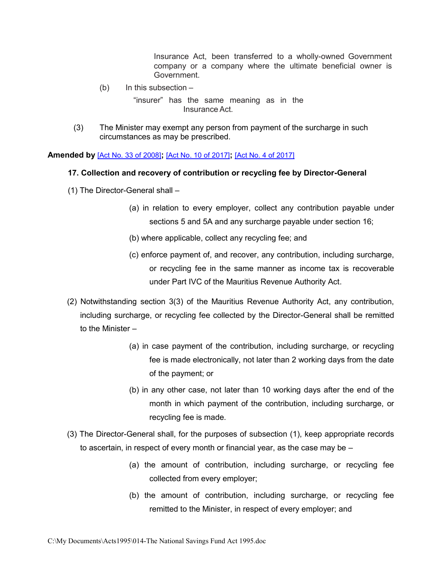Insurance Act, been transferred to a wholly-owned Government company or a company where the ultimate beneficial owner is Government.

 $(b)$  In this subsection –

"insurer" has the same meaning as in the Insurance Act.

(3) The Minister may exempt any person from payment of the surcharge in such circumstances as may be prescribed.

**Amended by** [\[Act No. 33 of 2008\]](https://supremecourt.govmu.org/get-doc-link/Act_No._33_of_2008)**;** [\[Act No. 10 of 2017\]](https://supremecourt.govmu.org/get-doc-link/Act_No._10_of_2017)**;** [\[Act No. 4 of 2017\]](https://supremecourt.govmu.org/get-doc-link/Act_No._4_of_2017)

### **17. Collection and recovery of contribution or recycling fee by Director-General**

- (1) The Director-General shall
	- (a) in relation to every employer, collect any contribution payable under sections 5 and 5A and any surcharge payable under section 16;
	- (b) where applicable, collect any recycling fee; and
	- (c) enforce payment of, and recover, any contribution, including surcharge, or recycling fee in the same manner as income tax is recoverable under Part IVC of the Mauritius Revenue Authority Act.
- (2) Notwithstanding section 3(3) of the Mauritius Revenue Authority Act, any contribution, including surcharge, or recycling fee collected by the Director-General shall be remitted to the Minister –
	- (a) in case payment of the contribution, including surcharge, or recycling fee is made electronically, not later than 2 working days from the date of the payment; or
	- (b) in any other case, not later than 10 working days after the end of the month in which payment of the contribution, including surcharge, or recycling fee is made.
- (3) The Director-General shall, for the purposes of subsection (1), keep appropriate records to ascertain, in respect of every month or financial year, as the case may be –
	- (a) the amount of contribution, including surcharge, or recycling fee collected from every employer;
	- (b) the amount of contribution, including surcharge, or recycling fee remitted to the Minister, in respect of every employer; and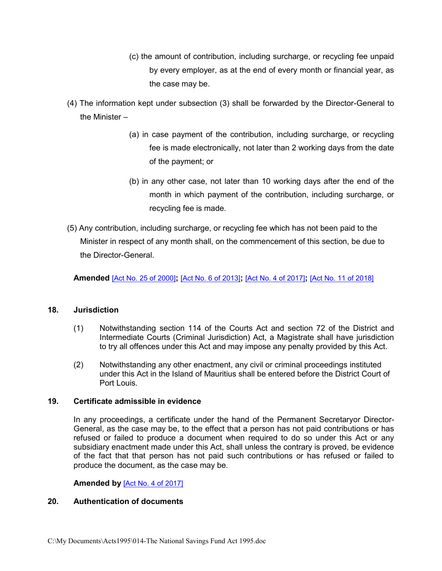- (c) the amount of contribution, including surcharge, or recycling fee unpaid by every employer, as at the end of every month or financial year, as the case may be.
- (4) The information kept under subsection (3) shall be forwarded by the Director-General to the Minister –
	- (a) in case payment of the contribution, including surcharge, or recycling fee is made electronically, not later than 2 working days from the date of the payment; or
	- (b) in any other case, not later than 10 working days after the end of the month in which payment of the contribution, including surcharge, or recycling fee is made.
- (5) Any contribution, including surcharge, or recycling fee which has not been paid to the Minister in respect of any month shall, on the commencement of this section, be due to the Director-General.

**Amended** [\[Act No. 25 of 2000\]](https://supremecourt.govmu.org/get-doc-link/Act_No._25_of_2000)**;** [\[Act No. 6 of 2013\]](https://supremecourt.govmu.org/get-doc-link/Act_No._6_of_2013)**;** [\[Act No. 4 of 2017\]](https://supremecourt.govmu.org/get-doc-link/Act_No._4_of_2017)**;** [\[Act No. 11 of 2018\]](https://supremecourt.govmu.org/get-doc-link/Act_No._11_of_2018)

## **18. Jurisdiction**

- <span id="page-19-0"></span>(1) Notwithstanding section 114 of the Courts Act and section 72 of the District and Intermediate Courts (Criminal Jurisdiction) Act, a Magistrate shall have jurisdiction to try all offences under this Act and may impose any penalty provided by this Act.
- (2) Notwithstanding any other enactment, any civil or criminal proceedings instituted under this Act in the Island of Mauritius shall be entered before the District Court of Port Louis.

## **19. Certificate admissible in evidence**

<span id="page-19-1"></span>In any proceedings, a certificate under the hand of the Permanent Secretaryor Director-General, as the case may be, to the effect that a person has not paid contributions or has refused or failed to produce a document when required to do so under this Act or any subsidiary enactment made under this Act, shall unless the contrary is proved, be evidence of the fact that that person has not paid such contributions or has refused or failed to produce the document, as the case may be.

## <span id="page-19-2"></span>**Amended by** [\[Act No. 4 of 2017\]](https://supremecourt.govmu.org/get-doc-link/Act_No._4_of_2017)

### **20. Authentication of documents**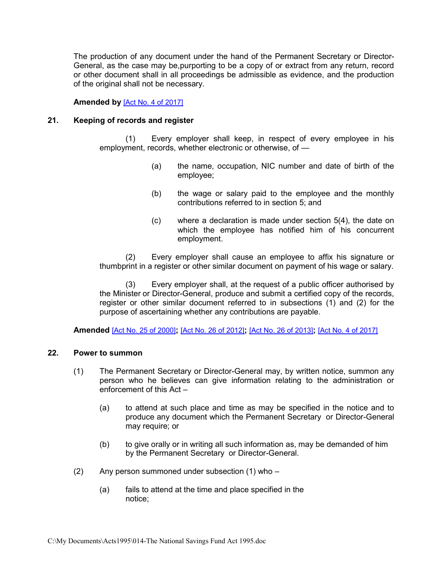The production of any document under the hand of the Permanent Secretary or Director-General, as the case may be,purporting to be a copy of or extract from any return, record or other document shall in all proceedings be admissible as evidence, and the production of the original shall not be necessary.

#### **Amended by** [\[Act No. 4 of 2017\]](https://supremecourt.govmu.org/get-doc-link/Act_No._4_of_2017)

#### **21. Keeping of records and register**

(1) Every employer shall keep, in respect of every employee in his employment, records, whether electronic or otherwise, of —

- (a) the name, occupation, NIC number and date of birth of the employee;
- (b) the wage or salary paid to the employee and the monthly contributions referred to in section 5; and
- (c) where a declaration is made under section 5(4), the date on which the employee has notified him of his concurrent employment.

(2) Every employer shall cause an employee to affix his signature or thumbprint in a register or other similar document on payment of his wage or salary.

(3) Every employer shall, at the request of a public officer authorised by the Minister or Director-General, produce and submit a certified copy of the records, register or other similar document referred to in subsections (1) and (2) for the purpose of ascertaining whether any contributions are payable.

**Amended** [\[Act No. 25 of 2000\]](https://supremecourt.govmu.org/get-doc-link/Act_No._25_of_2000)**;** [\[Act No. 26 of 2012\]](https://supremecourt.govmu.org/get-doc-link/Act_No._26_of_2012)**;** [\[Act No. 26 of 2013\]](https://supremecourt.govmu.org/get-doc-link/Act_No._26_of_2013)**;** [Act No. [4 of 2017\]](https://supremecourt.govmu.org/get-doc-link/Act_No._4_of_2017)

#### **22. Power to summon**

- <span id="page-20-0"></span>(1) The Permanent Secretary or Director-General may, by written notice, summon any person who he believes can give information relating to the administration or enforcement of this Act –
	- (a) to attend at such place and time as may be specified in the notice and to produce any document which the Permanent Secretary or Director-General may require; or
	- (b) to give orally or in writing all such information as, may be demanded of him by the Permanent Secretary or Director-General.
- $(2)$  Any person summoned under subsection  $(1)$  who
	- (a) fails to attend at the time and place specified in the notice;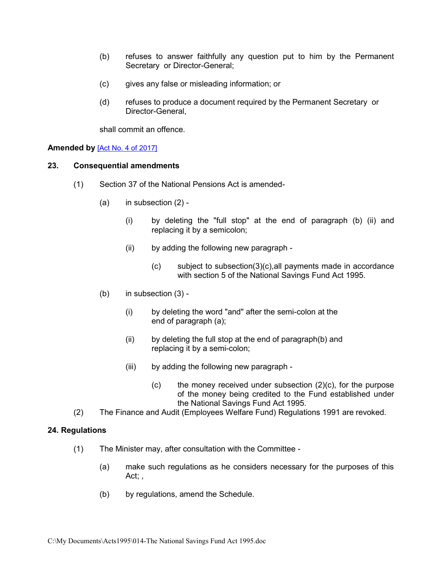- (b) refuses to answer faithfully any question put to him by the Permanent Secretary or Director-General;
- (c) gives any false or misleading information; or
- (d) refuses to produce a document required by the Permanent Secretary or Director-General,

<span id="page-21-0"></span>shall commit an offence.

### **Amended by** [\[Act No. 4 of 2017\]](https://supremecourt.govmu.org/get-doc-link/Act_No._4_of_2017)

#### **23. Consequential amendments**

- (1) Section 37 of the National Pensions Act is amended-
	- $(a)$  in subsection  $(2)$  -
		- (i) by deleting the "full stop" at the end of paragraph (b) (ii) and replacing it by a semicolon;
		- (ii) by adding the following new paragraph
			- (c) subject to subsection(3)(c),all payments made in accordance with section 5 of the National Savings Fund Act 1995.
	- (b) in subsection (3)
		- (i) by deleting the word "and" after the semi-colon at the end of paragraph (a);
		- (ii) by deleting the full stop at the end of paragraph(b) and replacing it by a semi-colon;
		- (iii) by adding the following new paragraph
			- $(c)$  the money received under subsection  $(2)(c)$ , for the purpose of the money being credited to the Fund established under the National Savings Fund Act 1995.
- <span id="page-21-1"></span>(2) The Finance and Audit (Employees Welfare Fund) Regulations 1991 are revoked.

## **24. Regulations**

- (1) The Minister may, after consultation with the Committee
	- (a) make such regulations as he considers necessary for the purposes of this Act; ,
	- (b) by regulations, amend the Schedule.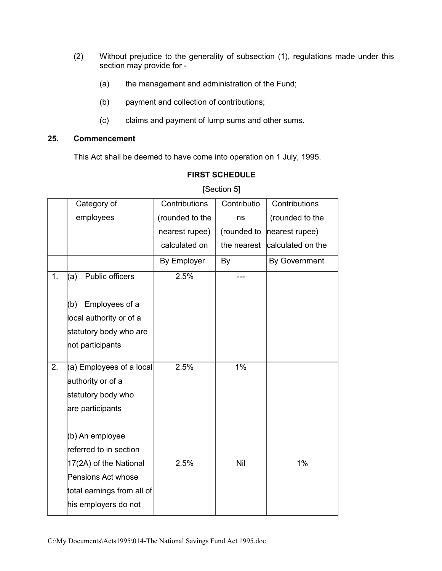- (2) Without prejudice to the generality of subsection (1), regulations made under this section may provide for -
	- (a) the management and administration of the Fund;
	- (b) payment and collection of contributions;
	- (c) claims and payment of lump sums and other sums.

## **25. Commencement**

<span id="page-22-0"></span>This Act shall be deemed to have come into operation on 1 July, 1995.

|    | Category of                                                                                                                                     | Contributions   | Contributio | Contributions        |
|----|-------------------------------------------------------------------------------------------------------------------------------------------------|-----------------|-------------|----------------------|
|    | employees                                                                                                                                       | (rounded to the | ns          | (rounded to the      |
|    |                                                                                                                                                 | nearest rupee)  | (rounded to | nearest rupee)       |
|    |                                                                                                                                                 | calculated on   | the nearest | calculated on the    |
|    |                                                                                                                                                 | By Employer     | By          | <b>By Government</b> |
| 1. | Public officers<br>(a)                                                                                                                          | 2.5%            |             |                      |
|    | Employees of a<br>(b)<br>local authority or of a<br>statutory body who are<br>not participants                                                  |                 |             |                      |
| 2. | $(a)$ Employees of a local<br>authority or of a<br>statutory body who<br>are participants                                                       | 2.5%            | 1%          |                      |
|    | (b) An employee<br>referred to in section<br>17(2A) of the National<br>Pensions Act whose<br>total earnings from all of<br>his employers do not | 2.5%            | Nil         | 1%                   |

## **FIRST SCHEDULE**

[Section 5]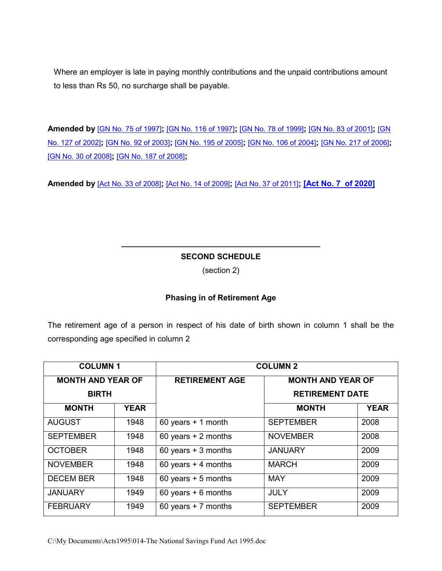Where an employer is late in paying monthly contributions and the unpaid contributions amount to less than Rs 50, no surcharge shall be payable.

**Amended by** [\[GN No. 75 of 1997\]](https://supremecourt.govmu.org/get-doc-link/GN_No._75_of_1997)**;** [\[GN No. 116 of 1997\]](https://supremecourt.govmu.org/get-doc-link/GN_No._116_of_1997)**;** [\[GN No. 78 of 1999\]](https://supremecourt.govmu.org/get-doc-link/GN_No._78_of_1999)**;** [\[GN No. 83 of 2001\]](https://supremecourt.govmu.org/get-doc-link/GN_No._83_of_2001)**;** [\[GN](https://supremecourt.govmu.org/get-doc-link/GN_No._127_of_2002)  [No. 127 of 2002\]](https://supremecourt.govmu.org/get-doc-link/GN_No._127_of_2002)**;** [\[GN No. 92 of 2003\]](https://supremecourt.govmu.org/get-doc-link/GN_No._92_of_2003)**;** [\[GN No. 195 of 2005\]](https://supremecourt.govmu.org/get-doc-link/GN_No._195_of_2005)**;** [\[GN No. 106 of 2004\]](https://supremecourt.govmu.org/get-doc-link/GN_No._106_of_2004)**;** [\[GN No. 217 of 2006\]](https://supremecourt.govmu.org/get-doc-link/GN_No._217_of_2006)**;**  [\[GN No. 30 of 2008\]](https://supremecourt.govmu.org/get-doc-link/GN_No._30_of_2008)**;** [\[GN No. 187 of 2008\]](https://supremecourt.govmu.org/get-doc-link/GN_No._187_of_2008)**;**

**Amended by** [\[Act No. 33 of 2008\]](https://supremecourt.govmu.org/get-doc-link/Act_No._33_of_2008)**;** [\[Act No. 14 of 2009\]](https://supremecourt.govmu.org/get-doc-link/Act_No._14_of_2009)**;** [\[Act No. 37 of 2011\]](https://supremecourt.govmu.org/get-doc-link/Act_No._37_of_2011)**; [\[Act No. 7 of 2020\]](https://supremecourt.govmu.org/get-doc-link/Act_No._7__of_2020)**

## **\_\_\_\_\_\_\_\_\_\_\_\_\_\_\_\_\_\_\_\_\_\_\_\_\_\_\_\_\_\_\_\_\_\_\_\_\_\_\_\_\_\_\_\_\_ SECOND SCHEDULE**

(section 2)

## **Phasing in of Retirement Age**

The retirement age of a person in respect of his date of birth shown in column 1 shall be the corresponding age specified in column 2

| <b>COLUMN1</b>           |             | <b>COLUMN 2</b>       |                          |             |  |
|--------------------------|-------------|-----------------------|--------------------------|-------------|--|
| <b>MONTH AND YEAR OF</b> |             | <b>RETIREMENT AGE</b> | <b>MONTH AND YEAR OF</b> |             |  |
| <b>BIRTH</b>             |             |                       | <b>RETIREMENT DATE</b>   |             |  |
| <b>MONTH</b>             | <b>YEAR</b> |                       | <b>MONTH</b>             | <b>YEAR</b> |  |
| <b>AUGUST</b>            | 1948        | 60 years $+1$ month   | <b>SEPTEMBER</b>         | 2008        |  |
| <b>SEPTEMBER</b>         | 1948        | 60 years $+ 2$ months | <b>NOVEMBER</b>          | 2008        |  |
| <b>OCTOBER</b>           | 1948        | 60 years $+3$ months  | <b>JANUARY</b>           | 2009        |  |
| <b>NOVEMBER</b>          | 1948        | 60 years $+$ 4 months | <b>MARCH</b>             | 2009        |  |
| <b>DECEM BER</b>         | 1948        | 60 years $+5$ months  | <b>MAY</b>               | 2009        |  |
| <b>JANUARY</b>           | 1949        | 60 years $+$ 6 months | <b>JULY</b>              | 2009        |  |
| <b>FEBRUARY</b>          | 1949        | 60 years $+ 7$ months | <b>SEPTEMBER</b>         | 2009        |  |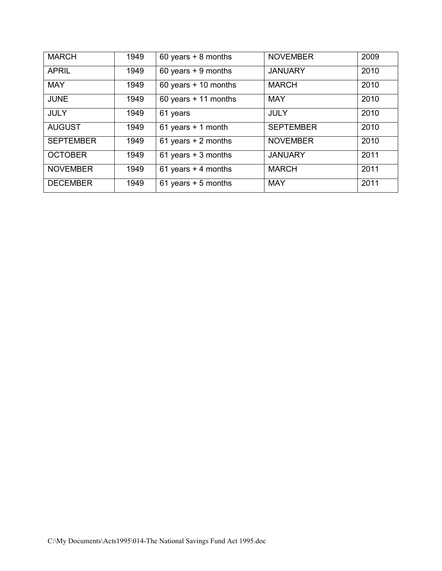| <b>MARCH</b>     | 1949 | 60 years $+ 8$ months  | <b>NOVEMBER</b>  | 2009 |
|------------------|------|------------------------|------------------|------|
| <b>APRIL</b>     | 1949 | 60 years $+9$ months   | <b>JANUARY</b>   | 2010 |
| <b>MAY</b>       | 1949 | 60 years $+$ 10 months | <b>MARCH</b>     | 2010 |
| <b>JUNE</b>      | 1949 | 60 years $+$ 11 months | <b>MAY</b>       | 2010 |
| <b>JULY</b>      | 1949 | 61 years               | <b>JULY</b>      | 2010 |
| <b>AUGUST</b>    | 1949 | 61 years $+$ 1 month   | <b>SEPTEMBER</b> | 2010 |
| <b>SEPTEMBER</b> | 1949 | 61 years $+ 2$ months  | <b>NOVEMBER</b>  | 2010 |
| <b>OCTOBER</b>   | 1949 | 61 years $+3$ months   | <b>JANUARY</b>   | 2011 |
| <b>NOVEMBER</b>  | 1949 | 61 years $+$ 4 months  | <b>MARCH</b>     | 2011 |
| <b>DECEMBER</b>  | 1949 | 61 years $+5$ months   | <b>MAY</b>       | 2011 |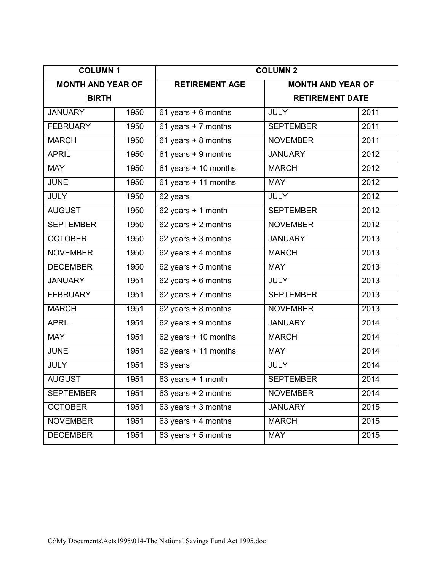| <b>COLUMN1</b>           |      | <b>COLUMN 2</b>                     |                          |      |  |
|--------------------------|------|-------------------------------------|--------------------------|------|--|
| <b>MONTH AND YEAR OF</b> |      | <b>RETIREMENT AGE</b>               | <b>MONTH AND YEAR OF</b> |      |  |
| <b>BIRTH</b>             |      |                                     | <b>RETIREMENT DATE</b>   |      |  |
| <b>JANUARY</b>           | 1950 | 61 years + 6 months                 | <b>JULY</b>              | 2011 |  |
| <b>FEBRUARY</b>          | 1950 | 61 years + 7 months                 | <b>SEPTEMBER</b>         | 2011 |  |
| <b>MARCH</b>             | 1950 | 61 years + 8 months                 | <b>NOVEMBER</b>          | 2011 |  |
| <b>APRIL</b>             | 1950 | 61 years + 9 months                 | <b>JANUARY</b>           | 2012 |  |
| <b>MAY</b>               | 1950 | $61$ years + 10 months              | <b>MARCH</b>             | 2012 |  |
| <b>JUNE</b>              | 1950 | 61 years + 11 months                | <b>MAY</b>               | 2012 |  |
| <b>JULY</b>              | 1950 | 62 years                            | <b>JULY</b>              | 2012 |  |
| <b>AUGUST</b>            | 1950 | 62 years + 1 month                  | <b>SEPTEMBER</b>         | 2012 |  |
| <b>SEPTEMBER</b>         | 1950 | $\overline{62}$ years + 2 months    | <b>NOVEMBER</b>          | 2012 |  |
| <b>OCTOBER</b>           | 1950 | $62$ years + 3 months               | <b>JANUARY</b>           | 2013 |  |
| <b>NOVEMBER</b>          | 1950 | $62$ years + 4 months               | <b>MARCH</b>             | 2013 |  |
| <b>DECEMBER</b>          | 1950 | 62 years + 5 months                 | <b>MAY</b>               | 2013 |  |
| <b>JANUARY</b>           | 1951 | 62 years + 6 months                 | <b>JULY</b>              | 2013 |  |
| <b>FEBRUARY</b>          | 1951 | 62 years + 7 months                 | <b>SEPTEMBER</b>         | 2013 |  |
| <b>MARCH</b>             | 1951 | 62 years + 8 months                 | <b>NOVEMBER</b>          | 2013 |  |
| <b>APRIL</b>             | 1951 | 62 years + 9 months                 | <b>JANUARY</b>           | 2014 |  |
| <b>MAY</b>               | 1951 | 62 years + 10 months                | <b>MARCH</b>             | 2014 |  |
| <b>JUNE</b>              | 1951 | 62 years + 11 months                | <b>MAY</b>               | 2014 |  |
| <b>JULY</b>              | 1951 | 63 years                            | <b>JULY</b>              | 2014 |  |
| <b>AUGUST</b>            | 1951 | 63 years + 1 month                  | <b>SEPTEMBER</b>         | 2014 |  |
| <b>SEPTEMBER</b>         | 1951 | 63 years + 2 months                 | <b>NOVEMBER</b>          | 2014 |  |
| <b>OCTOBER</b>           | 1951 | 63 years + 3 months                 | <b>JANUARY</b>           | 2015 |  |
| <b>NOVEMBER</b>          | 1951 | 63 years + 4 months<br><b>MARCH</b> |                          | 2015 |  |
| <b>DECEMBER</b>          | 1951 | 63 years + 5 months                 | <b>MAY</b>               | 2015 |  |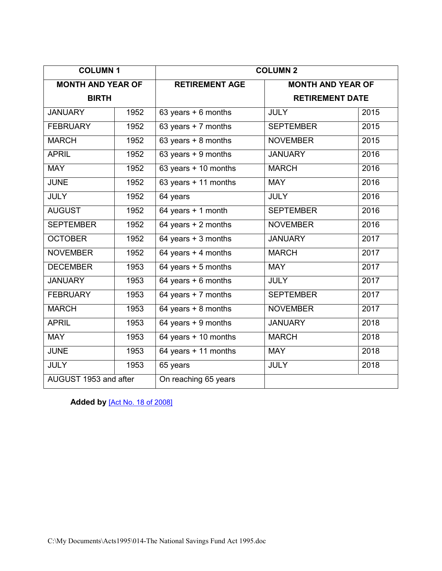| <b>COLUMN1</b>           |      | <b>COLUMN 2</b>                       |                          |      |  |
|--------------------------|------|---------------------------------------|--------------------------|------|--|
| <b>MONTH AND YEAR OF</b> |      | <b>RETIREMENT AGE</b>                 | <b>MONTH AND YEAR OF</b> |      |  |
| <b>BIRTH</b>             |      |                                       | <b>RETIREMENT DATE</b>   |      |  |
| <b>JANUARY</b>           | 1952 | 63 years + 6 months                   | <b>JULY</b>              | 2015 |  |
| <b>FEBRUARY</b>          | 1952 | 63 years + 7 months                   | <b>SEPTEMBER</b>         | 2015 |  |
| <b>MARCH</b>             | 1952 | 63 years + 8 months                   | <b>NOVEMBER</b>          | 2015 |  |
| <b>APRIL</b>             | 1952 | 63 years + 9 months                   | <b>JANUARY</b>           | 2016 |  |
| <b>MAY</b>               | 1952 | 63 years + 10 months                  | <b>MARCH</b>             | 2016 |  |
| <b>JUNE</b>              | 1952 | 63 years + 11 months                  | <b>MAY</b>               | 2016 |  |
| <b>JULY</b>              | 1952 | 64 years                              | <b>JULY</b>              | 2016 |  |
| <b>AUGUST</b>            | 1952 | 64 years + 1 month                    | <b>SEPTEMBER</b>         | 2016 |  |
| <b>SEPTEMBER</b>         | 1952 | 64 years + 2 months                   | <b>NOVEMBER</b>          | 2016 |  |
| <b>OCTOBER</b>           | 1952 | 64 years + 3 months                   | <b>JANUARY</b>           | 2017 |  |
| <b>NOVEMBER</b>          | 1952 | 64 years + 4 months                   | <b>MARCH</b>             | 2017 |  |
| <b>DECEMBER</b>          | 1953 | $64$ years + 5 months                 | <b>MAY</b>               | 2017 |  |
| <b>JANUARY</b>           | 1953 | 64 years + 6 months                   | <b>JULY</b>              | 2017 |  |
| <b>FEBRUARY</b>          | 1953 | 64 years + 7 months                   | <b>SEPTEMBER</b>         | 2017 |  |
| <b>MARCH</b>             | 1953 | $64 \text{ years} + 8 \text{ months}$ | <b>NOVEMBER</b>          | 2017 |  |
| <b>APRIL</b>             | 1953 | 64 years + 9 months                   | <b>JANUARY</b>           | 2018 |  |
| <b>MAY</b>               | 1953 | 64 years + 10 months                  | <b>MARCH</b>             | 2018 |  |
| <b>JUNE</b>              | 1953 | 64 years + 11 months                  | <b>MAY</b>               | 2018 |  |
| <b>JULY</b>              | 1953 | 65 years                              | <b>JULY</b>              | 2018 |  |
| AUGUST 1953 and after    |      | On reaching 65 years                  |                          |      |  |

**Added by** [\[Act No. 18 of 2008\]](https://supremecourt.govmu.org/get-doc-link/Act_No._18_of_2008)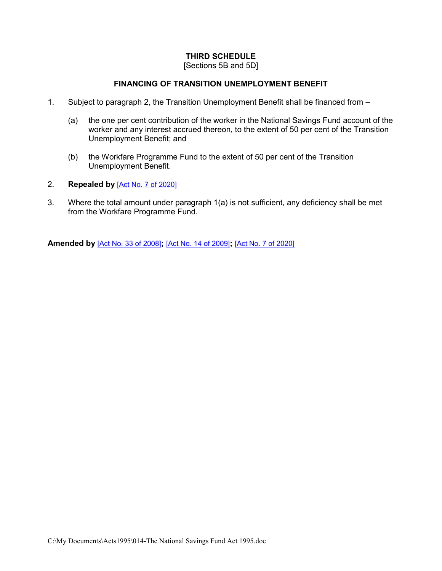## **THIRD SCHEDULE**

[Sections 5B and 5D]

## **FINANCING OF TRANSITION UNEMPLOYMENT BENEFIT**

- 1. Subject to paragraph 2, the Transition Unemployment Benefit shall be financed from
	- (a) the one per cent contribution of the worker in the National Savings Fund account of the worker and any interest accrued thereon, to the extent of 50 per cent of the Transition Unemployment Benefit; and
	- (b) the Workfare Programme Fund to the extent of 50 per cent of the Transition Unemployment Benefit.
- 2. **Repealed by** [\[Act No. 7 of 2020\]](https://supremecourt.govmu.org/get-doc-link/Act_No._7_of_2020)
- 3. Where the total amount under paragraph 1(a) is not sufficient, any deficiency shall be met from the Workfare Programme Fund.

**Amended by** [\[Act No. 33 of 2008\]](https://supremecourt.govmu.org/get-doc-link/Act_No._33_of_2008)**;** [\[Act No. 14 of 2009\]](https://supremecourt.govmu.org/get-doc-link/Act_No._14_of_2009)**;** [\[Act No. 7 of 2020\]](https://supremecourt.govmu.org/get-doc-link/Act_No._7_of_2020)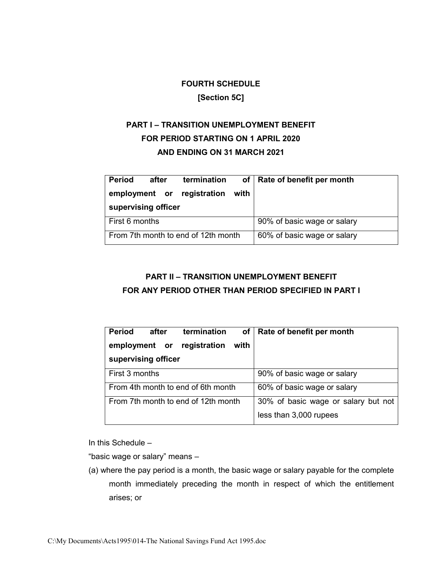## **FOURTH SCHEDULE**

## **[Section 5C]**

# **PART I – TRANSITION UNEMPLOYMENT BENEFIT FOR PERIOD STARTING ON 1 APRIL 2020 AND ENDING ON 31 MARCH 2021**

| <b>Period</b>                       | after | termination                 |                             | of   Rate of benefit per month |
|-------------------------------------|-------|-----------------------------|-----------------------------|--------------------------------|
|                                     |       | employment or registration  | with                        |                                |
| supervising officer                 |       |                             |                             |                                |
| First 6 months                      |       |                             | 90% of basic wage or salary |                                |
| From 7th month to end of 12th month |       | 60% of basic wage or salary |                             |                                |

# **PART II – TRANSITION UNEMPLOYMENT BENEFIT FOR ANY PERIOD OTHER THAN PERIOD SPECIFIED IN PART I**

| <b>Period</b><br>after<br>termination | of   Rate of benefit per month      |
|---------------------------------------|-------------------------------------|
| employment or<br>registration<br>with |                                     |
| supervising officer                   |                                     |
| First 3 months                        | 90% of basic wage or salary         |
| From 4th month to end of 6th month    | 60% of basic wage or salary         |
| From 7th month to end of 12th month   | 30% of basic wage or salary but not |
|                                       | less than 3,000 rupees              |

In this Schedule –

"basic wage or salary" means –

(a) where the pay period is a month, the basic wage or salary payable for the complete month immediately preceding the month in respect of which the entitlement arises; or